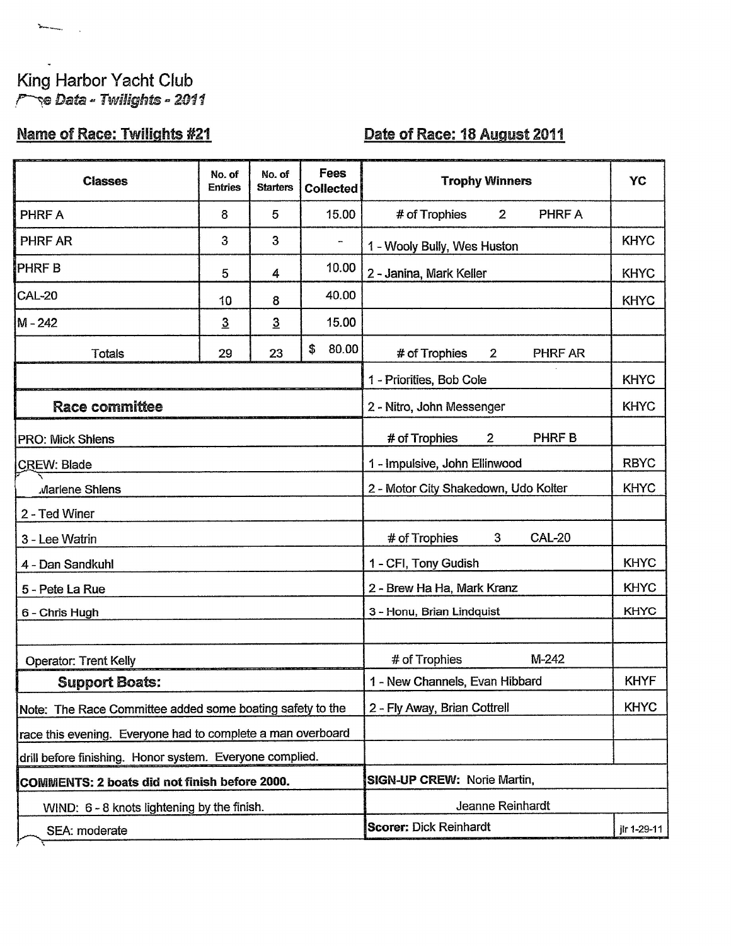## King Harbor Yacht Club **Pre Data - Twilights - 2011**

 $\sum_{i=1}^{n} \frac{1}{i} \sum_{i=1}^{n} \frac{1}{i} \sum_{i=1}^{n} \frac{1}{i} \sum_{i=1}^{n} \frac{1}{i} \sum_{i=1}^{n} \frac{1}{i} \sum_{i=1}^{n} \frac{1}{i} \sum_{i=1}^{n} \frac{1}{i} \sum_{i=1}^{n} \frac{1}{i} \sum_{i=1}^{n} \frac{1}{i} \sum_{i=1}^{n} \frac{1}{i} \sum_{i=1}^{n} \frac{1}{i} \sum_{i=1}^{n} \frac{1}{i} \sum_{i=1}^{n} \frac{1}{i$ 

## **Name of Race: Twilights #21**

## Date of Race: 18 August 2011

| <b>Classes</b>                                              | No. of<br><b>Entries</b> | No. of<br><b>Starters</b>     | Fees<br>Collected                    | <b>Trophy Winners</b>                          | YC          |  |  |
|-------------------------------------------------------------|--------------------------|-------------------------------|--------------------------------------|------------------------------------------------|-------------|--|--|
| <b>PHRFA</b>                                                | 8                        | 5                             | 15.00                                | # of Trophies<br>$\overline{2}$<br>PHRF A      |             |  |  |
| PHRF AR                                                     | 3                        | 3                             |                                      | 1 - Wooly Bully, Wes Huston                    | <b>KHYC</b> |  |  |
| <b>PHRFB</b>                                                | 5                        | 4                             | 10.00                                | 2 - Janina, Mark Keller                        | <b>KHYC</b> |  |  |
| <b>CAL-20</b>                                               | 10                       | 8                             | 40.00                                |                                                | <b>KHYC</b> |  |  |
| M-242                                                       | $\overline{3}$           | $\overline{3}$                | 15.00                                |                                                |             |  |  |
| Totals                                                      | 29                       | 23                            | \$<br>80.00                          | # of Trophies<br>$\mathbf{2}$<br>PHRF AR       |             |  |  |
|                                                             |                          |                               |                                      | 1 - Priorities, Bob Cole<br><b>KHYC</b>        |             |  |  |
| <b>Race committee</b>                                       |                          |                               |                                      | 2 - Nitro, John Messenger                      | <b>KHYC</b> |  |  |
| <b>PRO: Mick Shiens</b>                                     |                          |                               |                                      | # of Trophies<br>PHRF B<br>$\overline{2}$      |             |  |  |
| <b>CREW: Blade</b>                                          |                          |                               | 1 - Impulsive, John Ellinwood        | <b>RBYC</b>                                    |             |  |  |
| Marlene Shlens                                              |                          |                               | 2 - Motor City Shakedown, Udo Kolter | <b>KHYC</b>                                    |             |  |  |
| 2 - Ted Winer                                               |                          |                               |                                      |                                                |             |  |  |
| 3 - Lee Watrin                                              |                          |                               |                                      | <b>CAL-20</b><br># of Trophies<br>$\mathbf{3}$ |             |  |  |
| 4 - Dan Sandkuhl                                            |                          |                               |                                      | 1 - CFI, Tony Gudish                           | <b>KHYC</b> |  |  |
| 5 - Pete La Rue                                             |                          |                               |                                      | 2 - Brew Ha Ha, Mark Kranz                     | <b>KHYC</b> |  |  |
| 6 - Chris Hugh                                              |                          |                               |                                      | 3 - Honu, Brian Lindquist                      | <b>KHYC</b> |  |  |
|                                                             |                          |                               |                                      |                                                |             |  |  |
| <b>Operator: Trent Kelly</b>                                |                          |                               |                                      | M-242<br># of Trophies                         |             |  |  |
| <b>Support Boats:</b>                                       |                          |                               | 1 - New Channels, Evan Hibbard       | <b>KHYF</b>                                    |             |  |  |
| Note: The Race Committee added some boating safety to the   |                          |                               |                                      | 2 - Fly Away, Brian Cottrell                   | <b>KHYC</b> |  |  |
| race this evening. Everyone had to complete a man overboard |                          |                               |                                      |                                                |             |  |  |
| drill before finishing. Honor system. Everyone complied.    |                          |                               |                                      |                                                |             |  |  |
| COMMENTS: 2 boats did not finish before 2000.               |                          |                               |                                      | <b>SIGN-UP CREW: Norie Martin,</b>             |             |  |  |
| WIND: 6 - 8 knots lightening by the finish.                 |                          |                               |                                      | Jeanne Reinhardt                               |             |  |  |
| SEA: moderate                                               |                          | <b>Scorer: Dick Reinhardt</b> | jlr 1-29-11                          |                                                |             |  |  |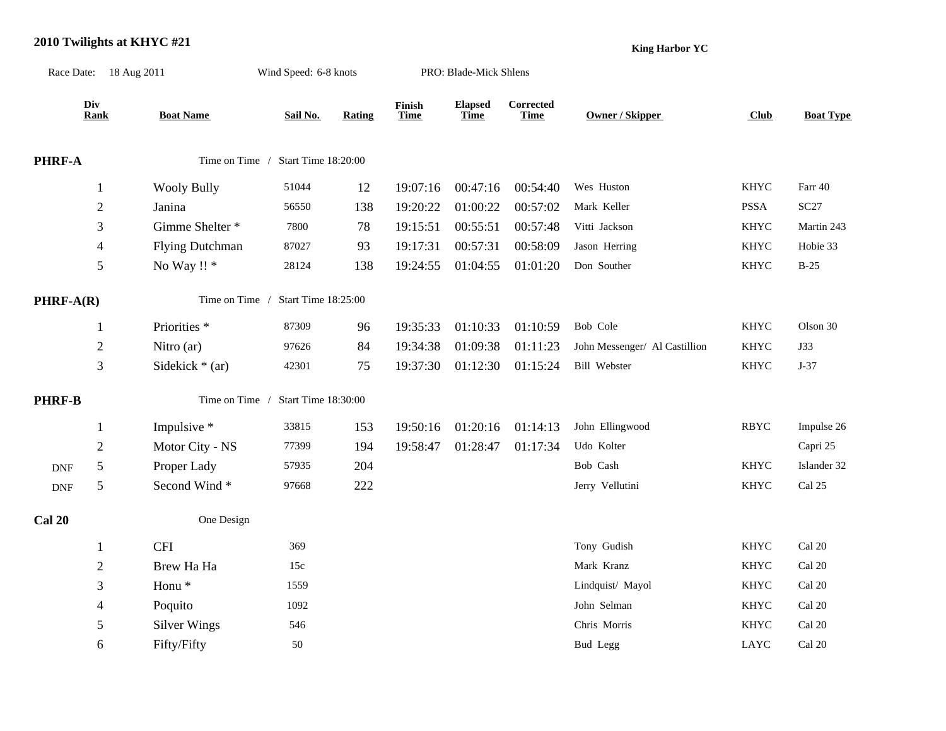## **2010 Twilights at KHYC #21**

**King Harbor YC**

|               | Race Date: 18 Aug 2011<br>Wind Speed: 6-8 knots<br>PRO: Blade-Mick Shlens |                         |                                    |        |                       |                        |                          |                               |             |                  |  |
|---------------|---------------------------------------------------------------------------|-------------------------|------------------------------------|--------|-----------------------|------------------------|--------------------------|-------------------------------|-------------|------------------|--|
|               | Div<br><b>Rank</b>                                                        | <b>Boat Name</b>        | Sail No.                           | Rating | Finish<br><b>Time</b> | <b>Elapsed</b><br>Time | Corrected<br><b>Time</b> | <b>Owner / Skipper</b>        | Club        | <b>Boat Type</b> |  |
| PHRF-A        |                                                                           |                         | Time on Time / Start Time 18:20:00 |        |                       |                        |                          |                               |             |                  |  |
|               | $\mathbf{1}$                                                              | <b>Wooly Bully</b>      | 51044                              | 12     | 19:07:16              | 00:47:16               | 00:54:40                 | Wes Huston                    | <b>KHYC</b> | Farr 40          |  |
|               | $\overline{c}$                                                            | Janina                  | 56550                              | 138    | 19:20:22              | 01:00:22               | 00:57:02                 | Mark Keller                   | <b>PSSA</b> | SC27             |  |
|               | 3                                                                         | Gimme Shelter *         | 7800                               | 78     | 19:15:51              | 00:55:51               | 00:57:48                 | Vitti Jackson                 | <b>KHYC</b> | Martin 243       |  |
|               | $\overline{\mathcal{A}}$                                                  | <b>Flying Dutchman</b>  | 87027                              | 93     | 19:17:31              | 00:57:31               | 00:58:09                 | Jason Herring                 | KHYC        | Hobie 33         |  |
|               | $\mathfrak s$                                                             | No Way !! *             | 28124                              | 138    | 19:24:55              | 01:04:55               | 01:01:20                 | Don Souther                   | KHYC        | $B-25$           |  |
| $PHRF-A(R)$   |                                                                           |                         | Time on Time / Start Time 18:25:00 |        |                       |                        |                          |                               |             |                  |  |
|               | 1                                                                         | Priorities <sup>*</sup> | 87309                              | 96     | 19:35:33              | 01:10:33               | 01:10:59                 | Bob Cole                      | <b>KHYC</b> | Olson 30         |  |
|               | $\mathbf{2}$                                                              | Nitro (ar)              | 97626                              | 84     | 19:34:38              | 01:09:38               | 01:11:23                 | John Messenger/ Al Castillion | <b>KHYC</b> | <b>J33</b>       |  |
|               | $\mathfrak{Z}$                                                            | Sidekick $*$ (ar)       | 42301                              | 75     | 19:37:30              | 01:12:30               | 01:15:24                 | Bill Webster                  | KHYC        | $J-37$           |  |
| <b>PHRF-B</b> |                                                                           |                         | Time on Time / Start Time 18:30:00 |        |                       |                        |                          |                               |             |                  |  |
|               | $\mathbf{1}$                                                              | Impulsive *             | 33815                              | 153    | 19:50:16              | 01:20:16               | 01:14:13                 | John Ellingwood               | <b>RBYC</b> | Impulse 26       |  |
|               | $\sqrt{2}$                                                                | Motor City - NS         | 77399                              | 194    | 19:58:47              | 01:28:47               | 01:17:34                 | Udo Kolter                    |             | Capri 25         |  |
| <b>DNF</b>    | $\sqrt{5}$                                                                | Proper Lady             | 57935                              | 204    |                       |                        |                          | Bob Cash                      | <b>KHYC</b> | Islander 32      |  |
| <b>DNF</b>    | $\mathfrak s$                                                             | Second Wind*            | 97668                              | 222    |                       |                        |                          | Jerry Vellutini               | <b>KHYC</b> | Cal 25           |  |
| <b>Cal 20</b> |                                                                           | One Design              |                                    |        |                       |                        |                          |                               |             |                  |  |
|               | 1                                                                         | <b>CFI</b>              | 369                                |        |                       |                        |                          | Tony Gudish                   | <b>KHYC</b> | Cal 20           |  |
|               | $\sqrt{2}$                                                                | Brew Ha Ha              | 15c                                |        |                       |                        |                          | Mark Kranz                    | <b>KHYC</b> | Cal 20           |  |
|               | 3                                                                         | Honu <sup>*</sup>       | 1559                               |        |                       |                        |                          | Lindquist/ Mayol              | <b>KHYC</b> | Cal 20           |  |
|               | $\overline{\mathcal{L}}$                                                  | Poquito                 | 1092                               |        |                       |                        |                          | John Selman                   | <b>KHYC</b> | Cal 20           |  |
|               | 5                                                                         | <b>Silver Wings</b>     | 546                                |        |                       |                        |                          | Chris Morris                  | <b>KHYC</b> | Cal 20           |  |
|               | 6                                                                         | Fifty/Fifty             | 50                                 |        |                       |                        |                          | <b>Bud Legg</b>               | <b>LAYC</b> | Cal 20           |  |